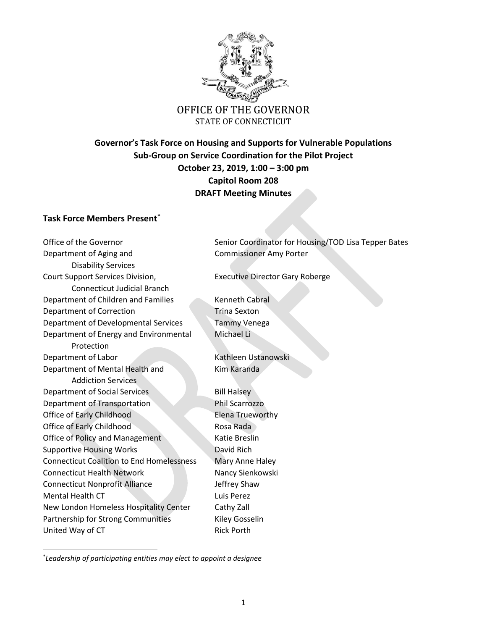

# OFFICE OF THE GOVERNOR STATE OF CONNECTICUT

## **Governor's Task Force on Housing and Supports for Vulnerable Populations Sub-Group on Service Coordination for the Pilot Project October 23, 2019, 1:00 – 3:00 pm Capitol Room 208 DRAFT Meeting Minutes**

## **Task Force Members Present\***

Department of Aging and Commissioner Amy Porter Disability Services Court Support Services Division, Executive Director Gary Roberge Connecticut Judicial Branch Department of Children and Families Kenneth Cabral Department of Correction Trina Sexton Department of Developmental Services Tammy Venega Department of Energy and Environmental Michael Li Protection Department of Labor Kathleen Ustanowski Department of Mental Health and Kim Karanda Addiction Services Department of Social Services Bill Halsey Department of Transportation Phil Scarrozzo Office of Early Childhood Elena Trueworthy Office of Early Childhood Rosa Rada Office of Policy and Management Katie Breslin Supportive Housing Works David Rich Connecticut Coalition to End Homelessness Mary Anne Haley Connecticut Health Network Nancy Sienkowski Connecticut Nonprofit Alliance Julie 19 Jeffrey Shaw Mental Health CT Luis Perez New London Homeless Hospitality Center Cathy Zall Partnership for Strong Communities Kiley Gosselin United Way of CT Rick Porth

 $\overline{\phantom{a}}$ 

Office of the Governor Senior Coordinator for Housing/TOD Lisa Tepper Bates

\* *Leadership of participating entities may elect to appoint a designee*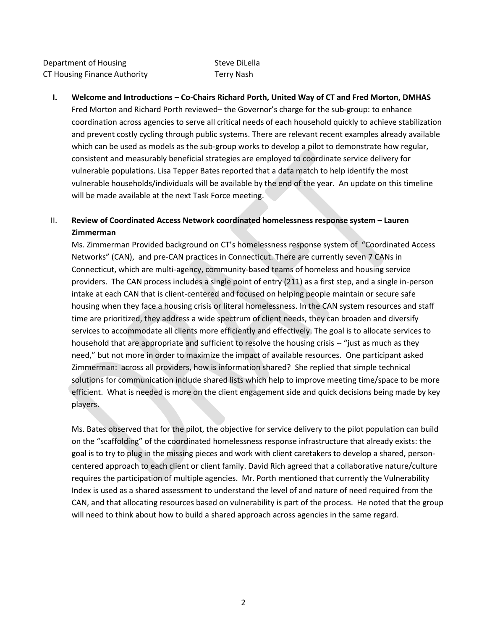Department of Housing The Contract Steve DiLella CT Housing Finance Authority Terry Nash

#### **I. Welcome and Introductions – Co-Chairs Richard Porth, United Way of CT and Fred Morton, DMHAS**

Fred Morton and Richard Porth reviewed– the Governor's charge for the sub-group: to enhance coordination across agencies to serve all critical needs of each household quickly to achieve stabilization and prevent costly cycling through public systems. There are relevant recent examples already available which can be used as models as the sub-group works to develop a pilot to demonstrate how regular, consistent and measurably beneficial strategies are employed to coordinate service delivery for vulnerable populations. Lisa Tepper Bates reported that a data match to help identify the most vulnerable households/individuals will be available by the end of the year. An update on this timeline will be made available at the next Task Force meeting.

## II. **Review of Coordinated Access Network coordinated homelessness response system – Lauren Zimmerman**

Ms. Zimmerman Provided background on CT's homelessness response system of "Coordinated Access Networks" (CAN), and pre-CAN practices in Connecticut. There are currently seven 7 CANs in Connecticut, which are multi-agency, community-based teams of homeless and housing service providers. The CAN process includes a single point of entry (211) as a first step, and a single in-person intake at each CAN that is client-centered and focused on helping people maintain or secure safe housing when they face a housing crisis or literal homelessness. In the CAN system resources and staff time are prioritized, they address a wide spectrum of client needs, they can broaden and diversify services to accommodate all clients more efficiently and effectively. The goal is to allocate services to household that are appropriate and sufficient to resolve the housing crisis -- "just as much as they need," but not more in order to maximize the impact of available resources. One participant asked Zimmerman: across all providers, how is information shared? She replied that simple technical solutions for communication include shared lists which help to improve meeting time/space to be more efficient. What is needed is more on the client engagement side and quick decisions being made by key players.

Ms. Bates observed that for the pilot, the objective for service delivery to the pilot population can build on the "scaffolding" of the coordinated homelessness response infrastructure that already exists: the goal is to try to plug in the missing pieces and work with client caretakers to develop a shared, personcentered approach to each client or client family. David Rich agreed that a collaborative nature/culture requires the participation of multiple agencies. Mr. Porth mentioned that currently the Vulnerability Index is used as a shared assessment to understand the level of and nature of need required from the CAN, and that allocating resources based on vulnerability is part of the process. He noted that the group will need to think about how to build a shared approach across agencies in the same regard.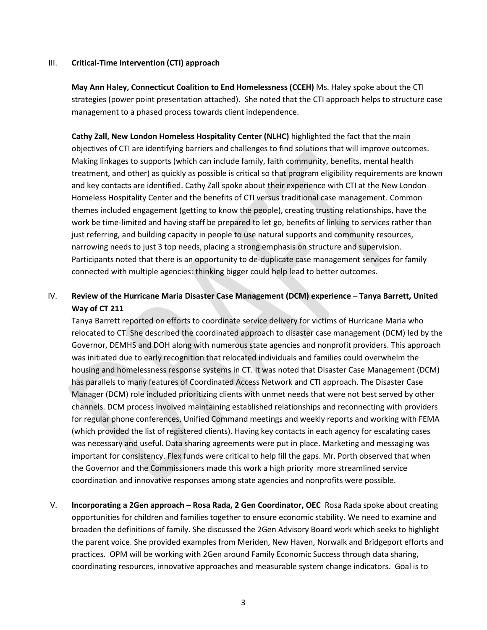#### III. **Critical-Time Intervention (CTI) approach**

**May Ann Haley, Connecticut Coalition to End Homelessness (CCEH)** Ms. Haley spoke about the CTI strategies (power point presentation attached). She noted that the CTI approach helps to structure case management to a phased process towards client independence.

**Cathy Zall, New London Homeless Hospitality Center (NLHC)** highlighted the fact that the main objectives of CTI are identifying barriers and challenges to find solutions that will improve outcomes. Making linkages to supports (which can include family, faith community, benefits, mental health treatment, and other) as quickly as possible is critical so that program eligibility requirements are known and key contacts are identified. Cathy Zall spoke about their experience with CTI at the New London Homeless Hospitality Center and the benefits of CTI versus traditional case management. Common themes included engagement (getting to know the people), creating trusting relationships, have the work be time-limited and having staff be prepared to let go, benefits of linking to services rather than just referring, and building capacity in people to use natural supports and community resources, narrowing needs to just 3 top needs, placing a strong emphasis on structure and supervision. Participants noted that there is an opportunity to de-duplicate case management services for family connected with multiple agencies: thinking bigger could help lead to better outcomes.

## IV. **Review of the Hurricane Maria Disaster Case Management (DCM) experience – Tanya Barrett, United Way of CT 211**

Tanya Barrett reported on efforts to coordinate service delivery for victims of Hurricane Maria who relocated to CT. She described the coordinated approach to disaster case management (DCM) led by the Governor, DEMHS and DOH along with numerous state agencies and nonprofit providers. This approach was initiated due to early recognition that relocated individuals and families could overwhelm the housing and homelessness response systems in CT. It was noted that Disaster Case Management (DCM) has parallels to many features of Coordinated Access Network and CTI approach. The Disaster Case Manager (DCM) role included prioritizing clients with unmet needs that were not best served by other channels. DCM process involved maintaining established relationships and reconnecting with providers for regular phone conferences, Unified Command meetings and weekly reports and working with FEMA (which provided the list of registered clients). Having key contacts in each agency for escalating cases was necessary and useful. Data sharing agreements were put in place. Marketing and messaging was important for consistency. Flex funds were critical to help fill the gaps. Mr. Porth observed that when the Governor and the Commissioners made this work a high priority more streamlined service coordination and innovative responses among state agencies and nonprofits were possible.

V. **Incorporating a 2Gen approach – Rosa Rada, 2 Gen Coordinator, OEC** Rosa Rada spoke about creating opportunities for children and families together to ensure economic stability. We need to examine and broaden the definitions of family. She discussed the 2Gen Advisory Board work which seeks to highlight the parent voice. She provided examples from Meriden, New Haven, Norwalk and Bridgeport efforts and practices. OPM will be working with 2Gen around Family Economic Success through data sharing, coordinating resources, innovative approaches and measurable system change indicators. Goal is to